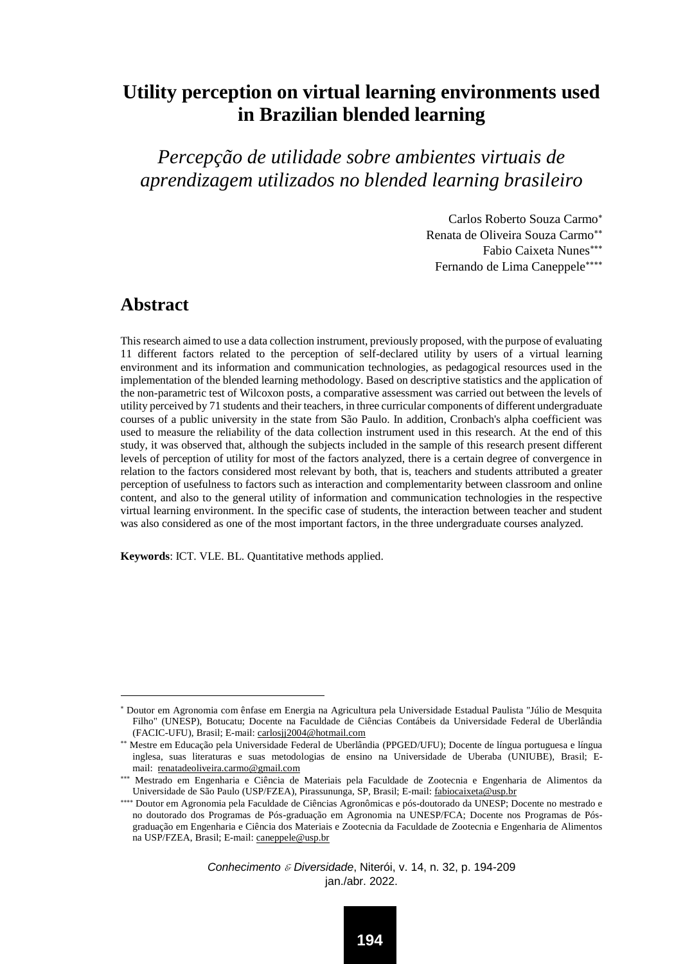# **Utility perception on virtual learning environments used in Brazilian blended learning**

*Percepção de utilidade sobre ambientes virtuais de aprendizagem utilizados no blended learning brasileiro*

> Carlos Roberto Souza Carmo Renata de Oliveira Souza Carmo Fabio Caixeta Nunes Fernando de Lima Caneppele

### **Abstract**

 $\overline{a}$ 

This research aimed to use a data collection instrument, previously proposed, with the purpose of evaluating 11 different factors related to the perception of self-declared utility by users of a virtual learning environment and its information and communication technologies, as pedagogical resources used in the implementation of the blended learning methodology. Based on descriptive statistics and the application of the non-parametric test of Wilcoxon posts, a comparative assessment was carried out between the levels of utility perceived by 71 students and their teachers, in three curricular components of different undergraduate courses of a public university in the state from São Paulo. In addition, Cronbach's alpha coefficient was used to measure the reliability of the data collection instrument used in this research. At the end of this study, it was observed that, although the subjects included in the sample of this research present different levels of perception of utility for most of the factors analyzed, there is a certain degree of convergence in relation to the factors considered most relevant by both, that is, teachers and students attributed a greater perception of usefulness to factors such as interaction and complementarity between classroom and online content, and also to the general utility of information and communication technologies in the respective virtual learning environment. In the specific case of students, the interaction between teacher and student was also considered as one of the most important factors, in the three undergraduate courses analyzed.

**Keywords**: ICT. VLE. BL. Quantitative methods applied.

Doutor em Agronomia com ênfase em Energia na Agricultura pela Universidade Estadual Paulista "Júlio de Mesquita Filho" (UNESP), Botucatu; Docente na Faculdade de Ciências Contábeis da Universidade Federal de Uberlândia (FACIC-UFU), Brasil; E-mail[: carlosjj2004@hotmail.com](mailto:carlosjj2004@hotmail.com)

Mestre em Educação pela Universidade Federal de Uberlândia (PPGED/UFU); Docente de língua portuguesa e língua inglesa, suas literaturas e suas metodologias de ensino na Universidade de Uberaba (UNIUBE), Brasil; Email: [renatadeoliveira.carmo@gmail.com](mailto:renatadeoliveira.carmo@gmail.com)

Mestrado em Engenharia e Ciência de Materiais pela Faculdade de Zootecnia e Engenharia de Alimentos da Universidade de São Paulo (USP/FZEA), Pirassununga, SP, Brasil; E-mail[: fabiocaixeta@usp.br](mailto:fabiocaixeta@usp.br)

<sup>\*\*\*\*</sup> Doutor em Agronomia pela Faculdade de Ciências Agronômicas e pós-doutorado da UNESP; Docente no mestrado e no doutorado dos Programas de Pós-graduação em Agronomia na UNESP/FCA; Docente nos Programas de Pósgraduação em Engenharia e Ciência dos Materiais e Zootecnia da Faculdade de Zootecnia e Engenharia de Alimentos na USP/FZEA, Brasil; E-mail[: caneppele@usp.br](mailto:caneppele@usp.br)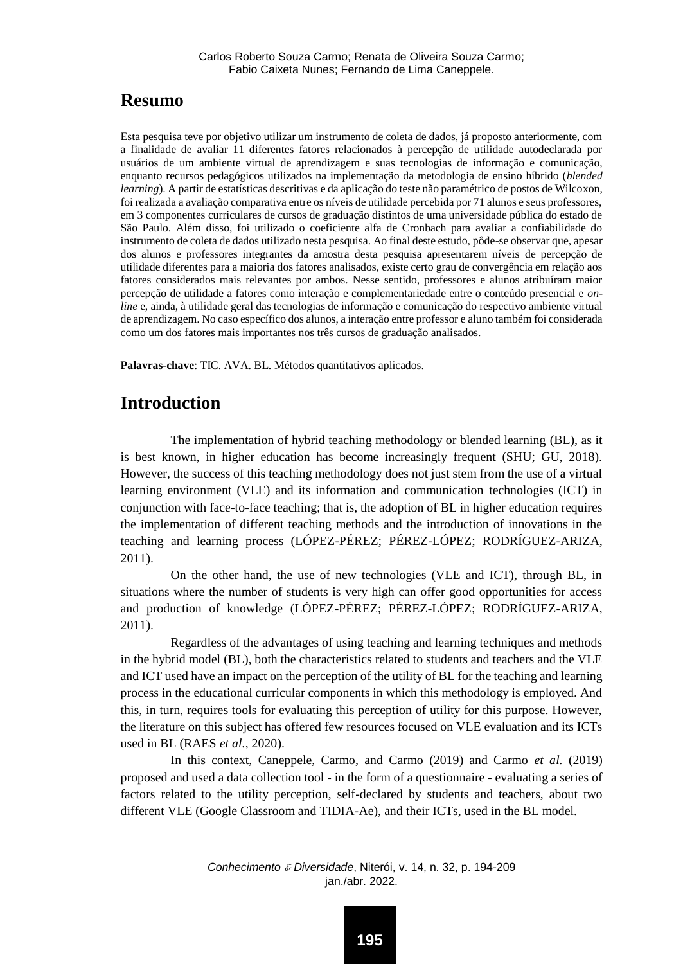## **Resumo**

Esta pesquisa teve por objetivo utilizar um instrumento de coleta de dados, já proposto anteriormente, com a finalidade de avaliar 11 diferentes fatores relacionados à percepção de utilidade autodeclarada por usuários de um ambiente virtual de aprendizagem e suas tecnologias de informação e comunicação, enquanto recursos pedagógicos utilizados na implementação da metodologia de ensino híbrido (*blended learning*). A partir de estatísticas descritivas e da aplicação do teste não paramétrico de postos de Wilcoxon, foi realizada a avaliação comparativa entre os níveis de utilidade percebida por 71 alunos e seus professores, em 3 componentes curriculares de cursos de graduação distintos de uma universidade pública do estado de São Paulo. Além disso, foi utilizado o coeficiente alfa de Cronbach para avaliar a confiabilidade do instrumento de coleta de dados utilizado nesta pesquisa. Ao final deste estudo, pôde-se observar que, apesar dos alunos e professores integrantes da amostra desta pesquisa apresentarem níveis de percepção de utilidade diferentes para a maioria dos fatores analisados, existe certo grau de convergência em relação aos fatores considerados mais relevantes por ambos. Nesse sentido, professores e alunos atribuíram maior percepção de utilidade a fatores como interação e complementariedade entre o conteúdo presencial e *online* e, ainda, à utilidade geral das tecnologias de informação e comunicação do respectivo ambiente virtual de aprendizagem. No caso específico dos alunos, a interação entre professor e aluno também foi considerada como um dos fatores mais importantes nos três cursos de graduação analisados.

**Palavras-chave**: TIC. AVA. BL. Métodos quantitativos aplicados.

# **Introduction**

The implementation of hybrid teaching methodology or blended learning (BL), as it is best known, in higher education has become increasingly frequent (SHU; GU, 2018). However, the success of this teaching methodology does not just stem from the use of a virtual learning environment (VLE) and its information and communication technologies (ICT) in conjunction with face-to-face teaching; that is, the adoption of BL in higher education requires the implementation of different teaching methods and the introduction of innovations in the teaching and learning process (LÓPEZ-PÉREZ; PÉREZ-LÓPEZ; RODRÍGUEZ-ARIZA, 2011).

On the other hand, the use of new technologies (VLE and ICT), through BL, in situations where the number of students is very high can offer good opportunities for access and production of knowledge (LÓPEZ-PÉREZ; PÉREZ-LÓPEZ; RODRÍGUEZ-ARIZA, 2011).

Regardless of the advantages of using teaching and learning techniques and methods in the hybrid model (BL), both the characteristics related to students and teachers and the VLE and ICT used have an impact on the perception of the utility of BL for the teaching and learning process in the educational curricular components in which this methodology is employed. And this, in turn, requires tools for evaluating this perception of utility for this purpose. However, the literature on this subject has offered few resources focused on VLE evaluation and its ICTs used in BL (RAES *et al.*, 2020).

In this context, Caneppele, Carmo, and Carmo (2019) and Carmo *et al.* (2019) proposed and used a data collection tool - in the form of a questionnaire - evaluating a series of factors related to the utility perception, self-declared by students and teachers, about two different VLE (Google Classroom and TIDIA-Ae), and their ICTs, used in the BL model.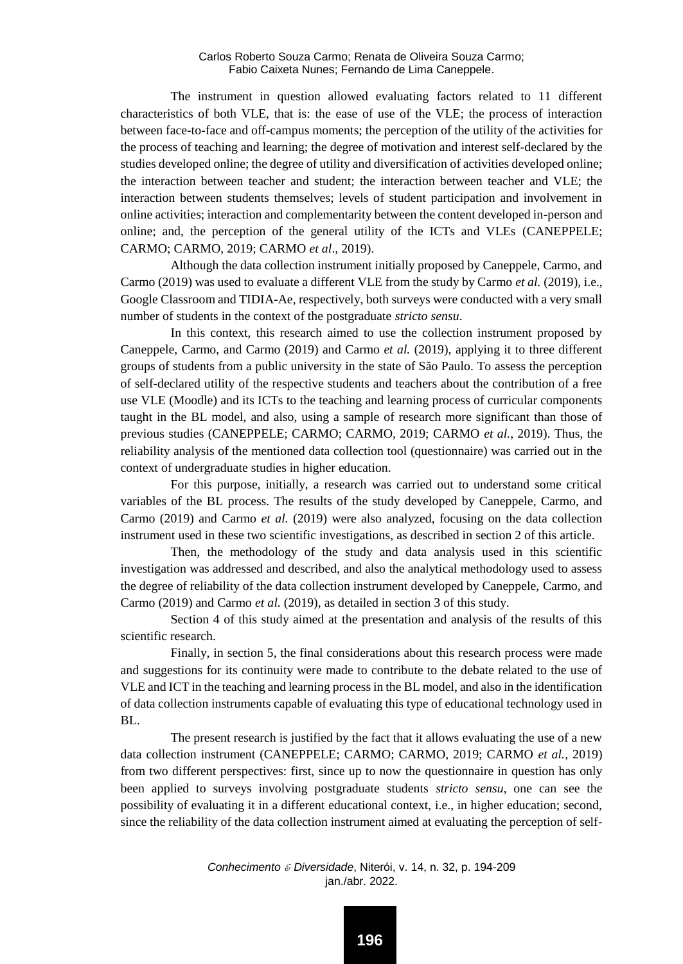The instrument in question allowed evaluating factors related to 11 different characteristics of both VLE, that is: the ease of use of the VLE; the process of interaction between face-to-face and off-campus moments; the perception of the utility of the activities for the process of teaching and learning; the degree of motivation and interest self-declared by the studies developed online; the degree of utility and diversification of activities developed online; the interaction between teacher and student; the interaction between teacher and VLE; the interaction between students themselves; levels of student participation and involvement in online activities; interaction and complementarity between the content developed in-person and online; and, the perception of the general utility of the ICTs and VLEs (CANEPPELE; CARMO; CARMO, 2019; CARMO *et al*., 2019).

Although the data collection instrument initially proposed by Caneppele, Carmo, and Carmo (2019) was used to evaluate a different VLE from the study by Carmo *et al.* (2019), i.e., Google Classroom and TIDIA-Ae, respectively, both surveys were conducted with a very small number of students in the context of the postgraduate *stricto sensu*.

In this context, this research aimed to use the collection instrument proposed by Caneppele, Carmo, and Carmo (2019) and Carmo *et al.* (2019), applying it to three different groups of students from a public university in the state of São Paulo. To assess the perception of self-declared utility of the respective students and teachers about the contribution of a free use VLE (Moodle) and its ICTs to the teaching and learning process of curricular components taught in the BL model, and also, using a sample of research more significant than those of previous studies (CANEPPELE; CARMO; CARMO, 2019; CARMO *et al.*, 2019). Thus, the reliability analysis of the mentioned data collection tool (questionnaire) was carried out in the context of undergraduate studies in higher education.

For this purpose, initially, a research was carried out to understand some critical variables of the BL process. The results of the study developed by Caneppele, Carmo, and Carmo (2019) and Carmo *et al.* (2019) were also analyzed, focusing on the data collection instrument used in these two scientific investigations, as described in section 2 of this article.

Then, the methodology of the study and data analysis used in this scientific investigation was addressed and described, and also the analytical methodology used to assess the degree of reliability of the data collection instrument developed by Caneppele, Carmo, and Carmo (2019) and Carmo *et al.* (2019), as detailed in section 3 of this study.

Section 4 of this study aimed at the presentation and analysis of the results of this scientific research.

Finally, in section 5, the final considerations about this research process were made and suggestions for its continuity were made to contribute to the debate related to the use of VLE and ICT in the teaching and learning process in the BL model, and also in the identification of data collection instruments capable of evaluating this type of educational technology used in BL.

The present research is justified by the fact that it allows evaluating the use of a new data collection instrument (CANEPPELE; CARMO; CARMO, 2019; CARMO *et al.*, 2019) from two different perspectives: first, since up to now the questionnaire in question has only been applied to surveys involving postgraduate students *stricto sensu*, one can see the possibility of evaluating it in a different educational context, i.e., in higher education; second, since the reliability of the data collection instrument aimed at evaluating the perception of self-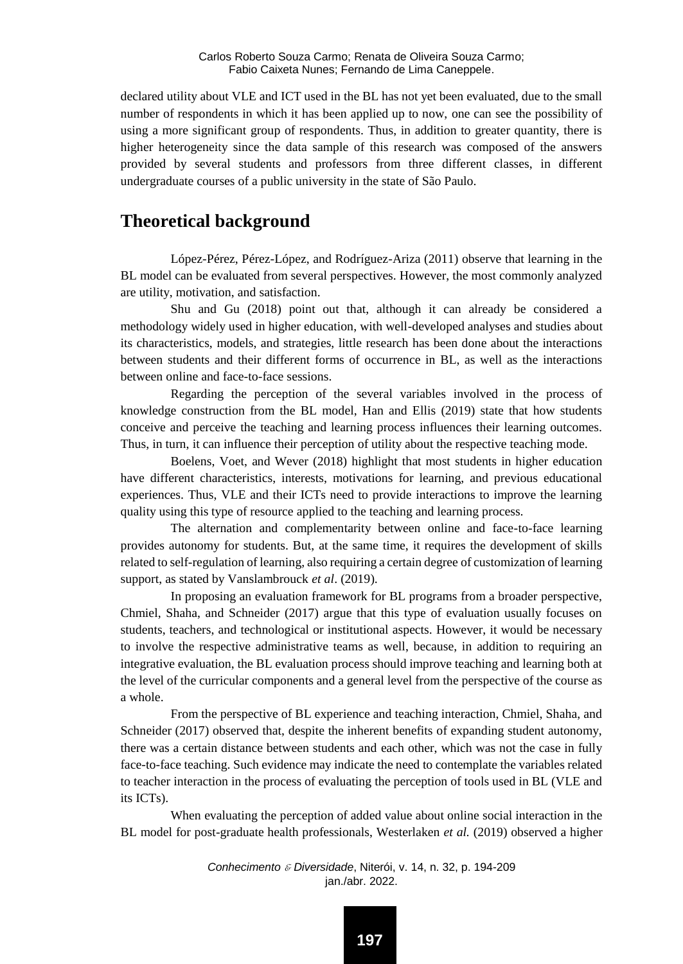declared utility about VLE and ICT used in the BL has not yet been evaluated, due to the small number of respondents in which it has been applied up to now, one can see the possibility of using a more significant group of respondents. Thus, in addition to greater quantity, there is higher heterogeneity since the data sample of this research was composed of the answers provided by several students and professors from three different classes, in different undergraduate courses of a public university in the state of São Paulo.

### **Theoretical background**

López-Pérez, Pérez-López, and Rodríguez-Ariza (2011) observe that learning in the BL model can be evaluated from several perspectives. However, the most commonly analyzed are utility, motivation, and satisfaction.

Shu and Gu (2018) point out that, although it can already be considered a methodology widely used in higher education, with well-developed analyses and studies about its characteristics, models, and strategies, little research has been done about the interactions between students and their different forms of occurrence in BL, as well as the interactions between online and face-to-face sessions.

Regarding the perception of the several variables involved in the process of knowledge construction from the BL model, Han and Ellis (2019) state that how students conceive and perceive the teaching and learning process influences their learning outcomes. Thus, in turn, it can influence their perception of utility about the respective teaching mode.

Boelens, Voet, and Wever (2018) highlight that most students in higher education have different characteristics, interests, motivations for learning, and previous educational experiences. Thus, VLE and their ICTs need to provide interactions to improve the learning quality using this type of resource applied to the teaching and learning process.

The alternation and complementarity between online and face-to-face learning provides autonomy for students. But, at the same time, it requires the development of skills related to self-regulation of learning, also requiring a certain degree of customization of learning support, as stated by Vanslambrouck *et al*. (2019).

In proposing an evaluation framework for BL programs from a broader perspective, Chmiel, Shaha, and Schneider (2017) argue that this type of evaluation usually focuses on students, teachers, and technological or institutional aspects. However, it would be necessary to involve the respective administrative teams as well, because, in addition to requiring an integrative evaluation, the BL evaluation process should improve teaching and learning both at the level of the curricular components and a general level from the perspective of the course as a whole.

From the perspective of BL experience and teaching interaction, Chmiel, Shaha, and Schneider (2017) observed that, despite the inherent benefits of expanding student autonomy, there was a certain distance between students and each other, which was not the case in fully face-to-face teaching. Such evidence may indicate the need to contemplate the variables related to teacher interaction in the process of evaluating the perception of tools used in BL (VLE and its ICTs).

When evaluating the perception of added value about online social interaction in the BL model for post-graduate health professionals, Westerlaken *et al.* (2019) observed a higher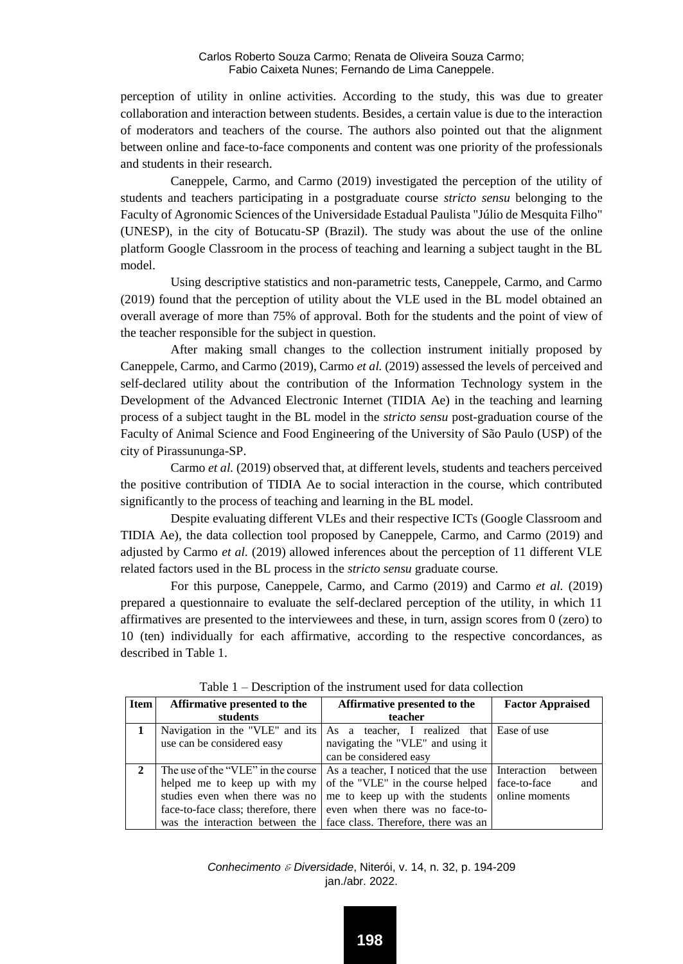perception of utility in online activities. According to the study, this was due to greater collaboration and interaction between students. Besides, a certain value is due to the interaction of moderators and teachers of the course. The authors also pointed out that the alignment between online and face-to-face components and content was one priority of the professionals and students in their research.

Caneppele, Carmo, and Carmo (2019) investigated the perception of the utility of students and teachers participating in a postgraduate course *stricto sensu* belonging to the Faculty of Agronomic Sciences of the Universidade Estadual Paulista "Júlio de Mesquita Filho" (UNESP), in the city of Botucatu-SP (Brazil). The study was about the use of the online platform Google Classroom in the process of teaching and learning a subject taught in the BL model.

Using descriptive statistics and non-parametric tests, Caneppele, Carmo, and Carmo (2019) found that the perception of utility about the VLE used in the BL model obtained an overall average of more than 75% of approval. Both for the students and the point of view of the teacher responsible for the subject in question.

After making small changes to the collection instrument initially proposed by Caneppele, Carmo, and Carmo (2019), Carmo *et al.* (2019) assessed the levels of perceived and self-declared utility about the contribution of the Information Technology system in the Development of the Advanced Electronic Internet (TIDIA Ae) in the teaching and learning process of a subject taught in the BL model in the *stricto sensu* post-graduation course of the Faculty of Animal Science and Food Engineering of the University of São Paulo (USP) of the city of Pirassununga-SP.

Carmo *et al.* (2019) observed that, at different levels, students and teachers perceived the positive contribution of TIDIA Ae to social interaction in the course, which contributed significantly to the process of teaching and learning in the BL model.

Despite evaluating different VLEs and their respective ICTs (Google Classroom and TIDIA Ae), the data collection tool proposed by Caneppele, Carmo, and Carmo (2019) and adjusted by Carmo *et al.* (2019) allowed inferences about the perception of 11 different VLE related factors used in the BL process in the *stricto sensu* graduate course.

For this purpose, Caneppele, Carmo, and Carmo (2019) and Carmo *et al.* (2019) prepared a questionnaire to evaluate the self-declared perception of the utility, in which 11 affirmatives are presented to the interviewees and these, in turn, assign scores from 0 (zero) to 10 (ten) individually for each affirmative, according to the respective concordances, as described in Table 1.

| Item           | Affirmative presented to the   | Affirmative presented to the                                                          | <b>Factor Appraised</b> |
|----------------|--------------------------------|---------------------------------------------------------------------------------------|-------------------------|
|                | students                       | teacher                                                                               |                         |
|                |                                | Navigation in the "VLE" and its As a teacher, I realized that Ease of use             |                         |
|                | use can be considered easy     | navigating the "VLE" and using it                                                     |                         |
|                |                                | can be considered easy                                                                |                         |
| $\mathfrak{D}$ |                                | The use of the "VLE" in the course As a teacher, I noticed that the use I Interaction | between                 |
|                | helped me to keep up with my   | of the "VLE" in the course helped face-to-face                                        | and                     |
|                | studies even when there was no | me to keep up with the students online moments                                        |                         |
|                |                                | face-to-face class; therefore, there   even when there was no face-to-                |                         |
|                |                                | was the interaction between the face class. Therefore, there was an                   |                         |

Table 1 – Description of the instrument used for data collection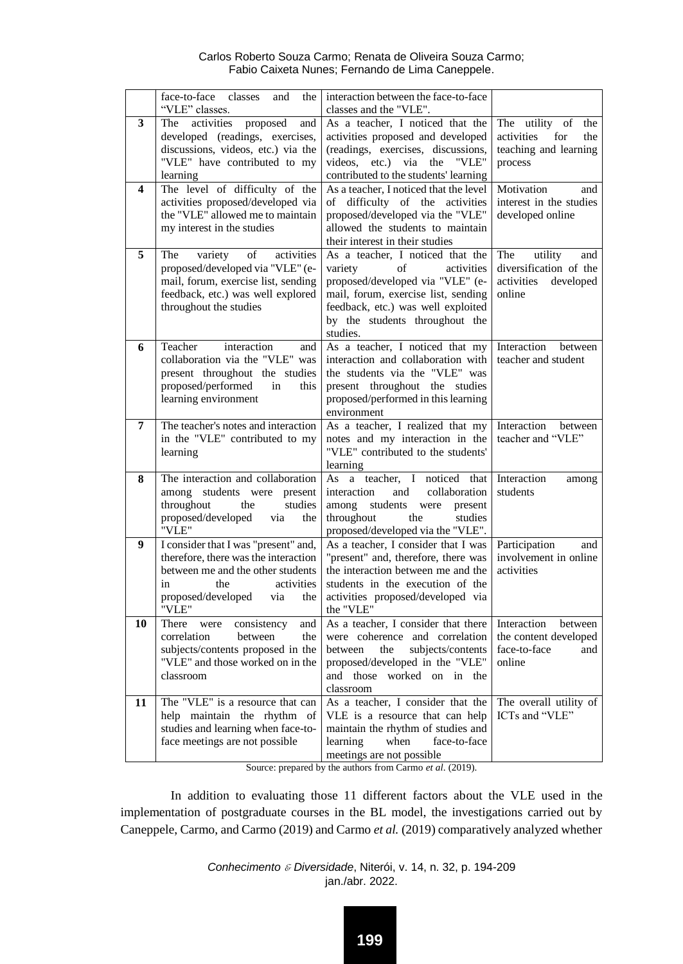|    | face-to-face<br>classes<br>the<br>and<br>"VLE" classes.                                                                                                                                   | interaction between the face-to-face<br>classes and the "VLE".                                                                                                                                                                 |                                                                                       |
|----|-------------------------------------------------------------------------------------------------------------------------------------------------------------------------------------------|--------------------------------------------------------------------------------------------------------------------------------------------------------------------------------------------------------------------------------|---------------------------------------------------------------------------------------|
| 3  | activities<br>The<br>proposed<br>and<br>developed (readings, exercises,<br>discussions, videos, etc.) via the<br>"VLE" have contributed to my<br>learning                                 | As a teacher. I noticed that the<br>activities proposed and developed<br>(readings, exercises, discussions,<br>videos, etc.) via<br>the<br>"VLE"<br>contributed to the students' learning                                      | The utility of<br>the<br>activities<br>for<br>the<br>teaching and learning<br>process |
| 4  | The level of difficulty of the<br>activities proposed/developed via<br>the "VLE" allowed me to maintain<br>my interest in the studies                                                     | As a teacher. I noticed that the level<br>difficulty of the activities<br>of<br>proposed/developed via the "VLE"<br>allowed the students to maintain<br>their interest in their studies                                        | Motivation<br>and<br>interest in the studies<br>developed online                      |
| 5  | The<br>variety<br>activities<br>οf<br>proposed/developed via "VLE" (e-<br>mail, forum, exercise list, sending<br>feedback, etc.) was well explored<br>throughout the studies              | As a teacher, I noticed that the<br>variety<br>of<br>activities<br>proposed/developed via "VLE" (e-<br>mail, forum, exercise list, sending<br>feedback, etc.) was well exploited<br>by the students throughout the<br>studies. | The<br>utility<br>and<br>diversification of the<br>activities<br>developed<br>online  |
| 6  | Teacher<br>interaction<br>and<br>collaboration via the "VLE" was<br>present throughout the studies<br>proposed/performed<br>in<br>this<br>learning environment                            | As a teacher, I noticed that my<br>interaction and collaboration with<br>the students via the "VLE" was<br>present throughout the studies<br>proposed/performed in this learning<br>environment                                | Interaction<br>between<br>teacher and student                                         |
| 7  | The teacher's notes and interaction<br>in the "VLE" contributed to my<br>learning                                                                                                         | As a teacher, I realized that my<br>notes and my interaction in the<br>"VLE" contributed to the students'<br>learning                                                                                                          | Interaction<br>between<br>teacher and "VLE"                                           |
| 8  | The interaction and collaboration<br>among students were present<br>throughout<br>studies<br>the<br>proposed/developed<br>the<br>via<br>"VLE"                                             | As a teacher, I noticed that<br>interaction<br>collaboration<br>and<br>among<br>students<br>were<br>present<br>throughout<br>the<br>studies<br>proposed/developed via the "VLE".                                               | Interaction<br>among<br>students                                                      |
| 9  | I consider that I was "present" and,<br>therefore, there was the interaction<br>between me and the other students<br>activities<br>in<br>the<br>proposed/developed<br>via<br>the<br>"VLE" | As a teacher, I consider that I was<br>"present" and, therefore, there was<br>the interaction between me and the<br>students in the execution of the<br>activities proposed/developed via<br>the "VLE"                         | Participation<br>and<br>involvement in online<br>activities                           |
| 10 | There<br>consistency<br>were<br>and<br>correlation<br>between<br>the<br>subjects/contents proposed in the<br>"VLE" and those worked on in the<br>classroom                                | As a teacher, I consider that there<br>were coherence and correlation<br>subjects/contents<br>between<br>the<br>proposed/developed in the "VLE"<br>and those worked on in<br>the<br>classroom                                  | Interaction<br>between<br>the content developed<br>face-to-face<br>and<br>online      |
| 11 | The "VLE" is a resource that can<br>help maintain the rhythm of<br>studies and learning when face-to-<br>face meetings are not possible                                                   | As a teacher, I consider that the<br>VLE is a resource that can help<br>maintain the rhythm of studies and<br>learning<br>when<br>face-to-face<br>meetings are not possible                                                    | The overall utility of<br>ICTs and "VLE"                                              |

Source: prepared by the authors from Carmo *et al*. (2019).

In addition to evaluating those 11 different factors about the VLE used in the implementation of postgraduate courses in the BL model, the investigations carried out by Caneppele, Carmo, and Carmo (2019) and Carmo *et al.* (2019) comparatively analyzed whether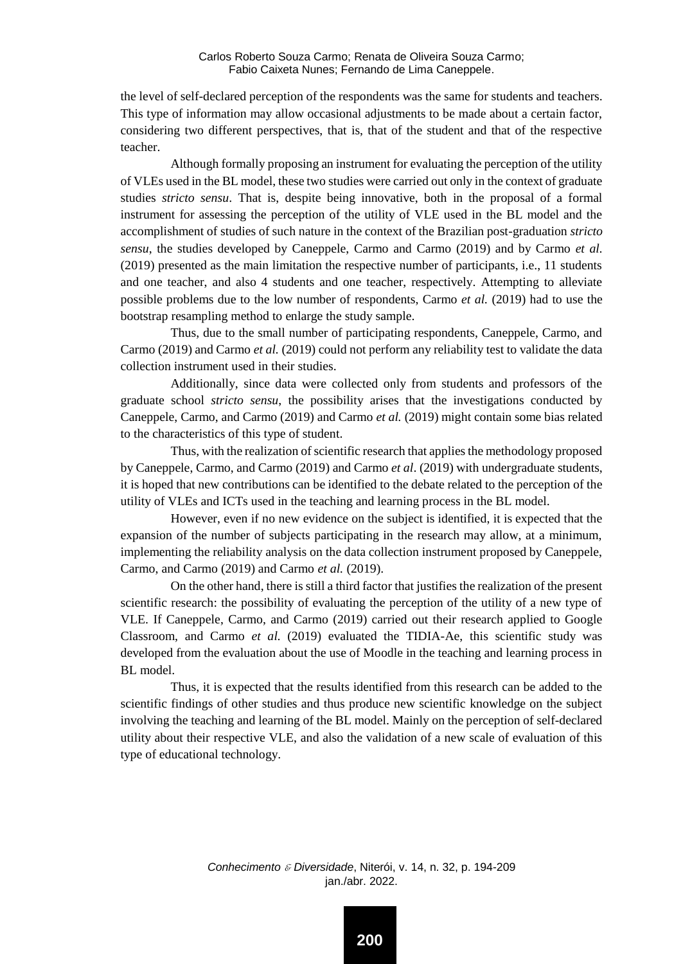the level of self-declared perception of the respondents was the same for students and teachers. This type of information may allow occasional adjustments to be made about a certain factor, considering two different perspectives, that is, that of the student and that of the respective teacher.

Although formally proposing an instrument for evaluating the perception of the utility of VLEs used in the BL model, these two studies were carried out only in the context of graduate studies *stricto sensu*. That is, despite being innovative, both in the proposal of a formal instrument for assessing the perception of the utility of VLE used in the BL model and the accomplishment of studies of such nature in the context of the Brazilian post-graduation *stricto sensu*, the studies developed by Caneppele, Carmo and Carmo (2019) and by Carmo *et al.* (2019) presented as the main limitation the respective number of participants, i.e., 11 students and one teacher, and also 4 students and one teacher, respectively. Attempting to alleviate possible problems due to the low number of respondents, Carmo *et al.* (2019) had to use the bootstrap resampling method to enlarge the study sample.

Thus, due to the small number of participating respondents, Caneppele, Carmo, and Carmo (2019) and Carmo *et al.* (2019) could not perform any reliability test to validate the data collection instrument used in their studies.

Additionally, since data were collected only from students and professors of the graduate school *stricto sensu*, the possibility arises that the investigations conducted by Caneppele, Carmo, and Carmo (2019) and Carmo *et al.* (2019) might contain some bias related to the characteristics of this type of student.

Thus, with the realization of scientific research that applies the methodology proposed by Caneppele, Carmo, and Carmo (2019) and Carmo *et al*. (2019) with undergraduate students, it is hoped that new contributions can be identified to the debate related to the perception of the utility of VLEs and ICTs used in the teaching and learning process in the BL model.

However, even if no new evidence on the subject is identified, it is expected that the expansion of the number of subjects participating in the research may allow, at a minimum, implementing the reliability analysis on the data collection instrument proposed by Caneppele, Carmo, and Carmo (2019) and Carmo *et al.* (2019).

On the other hand, there is still a third factor that justifies the realization of the present scientific research: the possibility of evaluating the perception of the utility of a new type of VLE. If Caneppele, Carmo, and Carmo (2019) carried out their research applied to Google Classroom, and Carmo *et al.* (2019) evaluated the TIDIA-Ae, this scientific study was developed from the evaluation about the use of Moodle in the teaching and learning process in BL model.

Thus, it is expected that the results identified from this research can be added to the scientific findings of other studies and thus produce new scientific knowledge on the subject involving the teaching and learning of the BL model. Mainly on the perception of self-declared utility about their respective VLE, and also the validation of a new scale of evaluation of this type of educational technology.

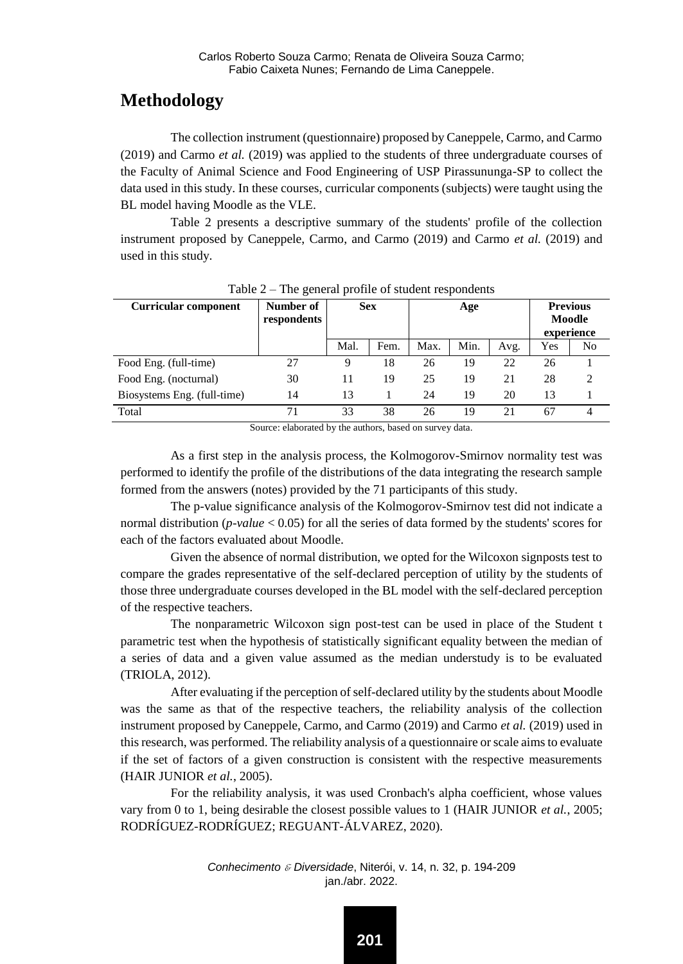# **Methodology**

The collection instrument (questionnaire) proposed by Caneppele, Carmo, and Carmo (2019) and Carmo *et al.* (2019) was applied to the students of three undergraduate courses of the Faculty of Animal Science and Food Engineering of USP Pirassununga-SP to collect the data used in this study. In these courses, curricular components (subjects) were taught using the BL model having Moodle as the VLE.

Table 2 presents a descriptive summary of the students' profile of the collection instrument proposed by Caneppele, Carmo, and Carmo (2019) and Carmo *et al.* (2019) and used in this study.

| <b>Curricular component</b> | Number of<br>respondents | <b>Sex</b> |      | Age  |      | <b>Previous</b><br>Moodle<br>experience |     |    |
|-----------------------------|--------------------------|------------|------|------|------|-----------------------------------------|-----|----|
|                             |                          | Mal.       | Fem. | Max. | Min. | Avg.                                    | Yes | No |
| Food Eng. (full-time)       | 27                       | О          | 18   | 26   | 19   | 22                                      | 26  |    |
| Food Eng. (nocturnal)       | 30                       |            | 19   | 25   | 19   | 21                                      | 28  | 2  |
| Biosystems Eng. (full-time) | 14                       | 13         |      | 24   | 19   | 20                                      | 13  |    |
| Total                       | 71                       | 33         | 38   | 26   | 19   | 21                                      | 67  |    |

Table 2 – The general profile of student respondents

Source: elaborated by the authors, based on survey data.

As a first step in the analysis process, the Kolmogorov-Smirnov normality test was performed to identify the profile of the distributions of the data integrating the research sample formed from the answers (notes) provided by the 71 participants of this study.

The p-value significance analysis of the Kolmogorov-Smirnov test did not indicate a normal distribution (*p-value* < 0.05) for all the series of data formed by the students' scores for each of the factors evaluated about Moodle.

Given the absence of normal distribution, we opted for the Wilcoxon signposts test to compare the grades representative of the self-declared perception of utility by the students of those three undergraduate courses developed in the BL model with the self-declared perception of the respective teachers.

The nonparametric Wilcoxon sign post-test can be used in place of the Student t parametric test when the hypothesis of statistically significant equality between the median of a series of data and a given value assumed as the median understudy is to be evaluated (TRIOLA, 2012).

After evaluating if the perception of self-declared utility by the students about Moodle was the same as that of the respective teachers, the reliability analysis of the collection instrument proposed by Caneppele, Carmo, and Carmo (2019) and Carmo *et al.* (2019) used in this research, was performed. The reliability analysis of a questionnaire or scale aims to evaluate if the set of factors of a given construction is consistent with the respective measurements (HAIR JUNIOR *et al.*, 2005).

For the reliability analysis, it was used Cronbach's alpha coefficient, whose values vary from 0 to 1, being desirable the closest possible values to 1 (HAIR JUNIOR *et al.*, 2005; RODRÍGUEZ-RODRÍGUEZ; REGUANT-ÁLVAREZ, 2020).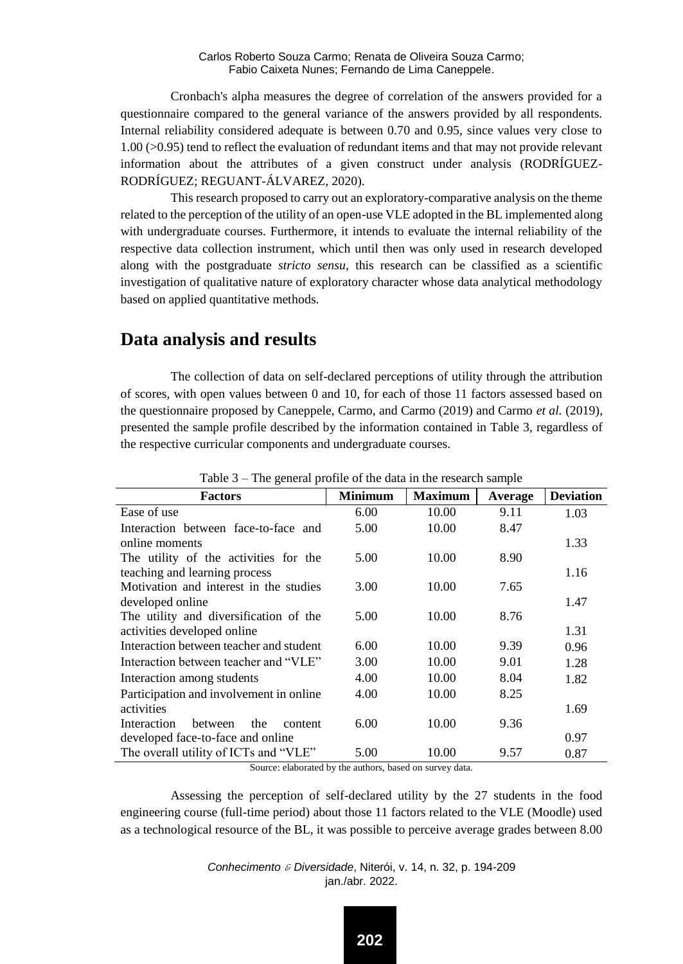Cronbach's alpha measures the degree of correlation of the answers provided for a questionnaire compared to the general variance of the answers provided by all respondents. Internal reliability considered adequate is between 0.70 and 0.95, since values very close to 1.00 (>0.95) tend to reflect the evaluation of redundant items and that may not provide relevant information about the attributes of a given construct under analysis (RODRÍGUEZ-RODRÍGUEZ; REGUANT-ÁLVAREZ, 2020).

This research proposed to carry out an exploratory-comparative analysis on the theme related to the perception of the utility of an open-use VLE adopted in the BL implemented along with undergraduate courses. Furthermore, it intends to evaluate the internal reliability of the respective data collection instrument, which until then was only used in research developed along with the postgraduate *stricto sensu*, this research can be classified as a scientific investigation of qualitative nature of exploratory character whose data analytical methodology based on applied quantitative methods.

#### **Data analysis and results**

The collection of data on self-declared perceptions of utility through the attribution of scores, with open values between 0 and 10, for each of those 11 factors assessed based on the questionnaire proposed by Caneppele, Carmo, and Carmo (2019) and Carmo *et al.* (2019), presented the sample profile described by the information contained in Table 3, regardless of the respective curricular components and undergraduate courses.

| <b>Factors</b>                           | <b>Minimum</b> | <b>Maximum</b> | Average | <b>Deviation</b> |
|------------------------------------------|----------------|----------------|---------|------------------|
| Ease of use                              | 6.00           | 10.00          | 9.11    | 1.03             |
| Interaction between face-to-face and     | 5.00           | 10.00          | 8.47    |                  |
| online moments                           |                |                |         | 1.33             |
| The utility of the activities for the    | 5.00           | 10.00          | 8.90    |                  |
| teaching and learning process            |                |                |         | 1.16             |
| Motivation and interest in the studies   | 3.00           | 10.00          | 7.65    |                  |
| developed online                         |                |                |         | 1.47             |
| The utility and diversification of the   | 5.00           | 10.00          | 8.76    |                  |
| activities developed online              |                |                |         | 1.31             |
| Interaction between teacher and student  | 6.00           | 10.00          | 9.39    | 0.96             |
| Interaction between teacher and "VLE"    | 3.00           | 10.00          | 9.01    | 1.28             |
| Interaction among students               | 4.00           | 10.00          | 8.04    | 1.82             |
| Participation and involvement in online  | 4.00           | 10.00          | 8.25    |                  |
| activities                               |                |                |         | 1.69             |
| Interaction<br>between<br>the<br>content | 6.00           | 10.00          | 9.36    |                  |
| developed face-to-face and online        |                |                |         | 0.97             |
| The overall utility of ICTs and "VLE"    | 5.00           | 10.00          | 9.57    | 0.87             |

Table 3 – The general profile of the data in the research sample

Source: elaborated by the authors, based on survey data.

Assessing the perception of self-declared utility by the 27 students in the food engineering course (full-time period) about those 11 factors related to the VLE (Moodle) used as a technological resource of the BL, it was possible to perceive average grades between 8.00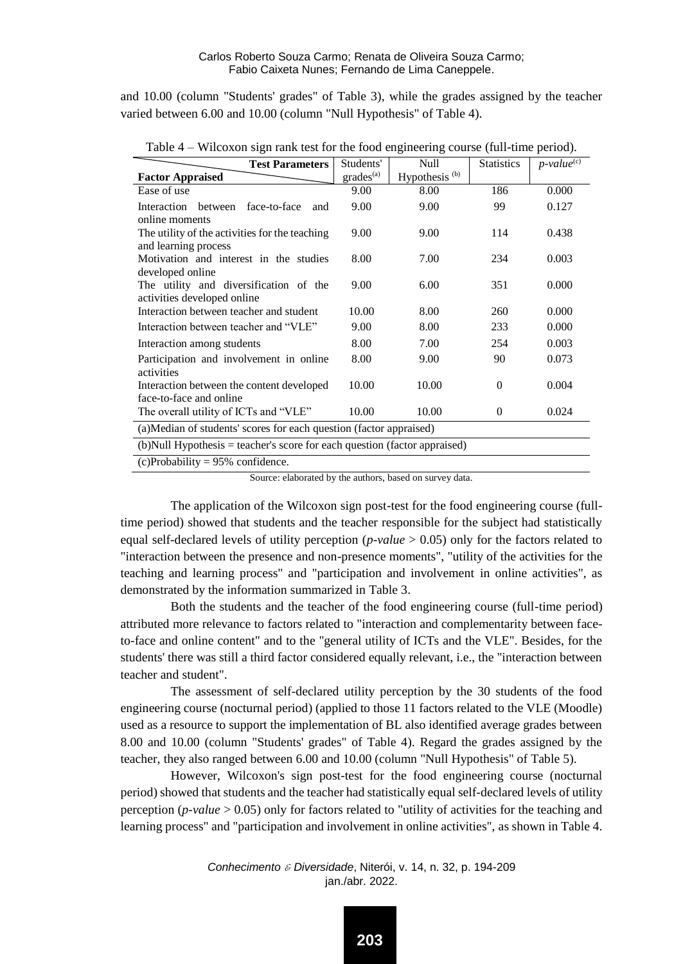and 10.00 (column "Students' grades" of Table 3), while the grades assigned by the teacher varied between 6.00 and 10.00 (column "Null Hypothesis" of Table 4).

| <b>Test Parameters</b>                                                                   | Students'             | Null                      | <b>Statistics</b> | $p$ -value $e^{(\overline{c})}$ |  |  |  |
|------------------------------------------------------------------------------------------|-----------------------|---------------------------|-------------------|---------------------------------|--|--|--|
| <b>Factor Appraised</b>                                                                  | grades <sup>(a)</sup> | Hypothesis <sup>(b)</sup> |                   |                                 |  |  |  |
| Ease of use                                                                              | 9.00                  | 8.00                      | 186               | 0.000                           |  |  |  |
| <b>Interaction</b><br>face-to-face<br>hetween<br>and                                     | 9.00                  | 9.00                      | 99                | 0.127                           |  |  |  |
| online moments<br>The utility of the activities for the teaching<br>and learning process | 9.00                  | 9.00                      | 114               | 0.438                           |  |  |  |
| Motivation and interest in the studies<br>developed online                               | 8.00                  | 7.00                      | 234               | 0.003                           |  |  |  |
| The utility and diversification of the<br>activities developed online                    | 9.00                  | 6.00                      | 351               | 0.000                           |  |  |  |
| Interaction between teacher and student                                                  | 10.00                 | 8.00                      | 260               | 0.000                           |  |  |  |
| Interaction between teacher and "VLE"                                                    | 9.00                  | 8.00                      | 233               | 0.000                           |  |  |  |
| Interaction among students                                                               | 8.00                  | 7.00                      | 254               | 0.003                           |  |  |  |
| Participation and involvement in online<br>activities                                    | 8.00                  | 9.00                      | 90                | 0.073                           |  |  |  |
| Interaction between the content developed<br>face-to-face and online                     | 10.00                 | 10.00                     | $\mathbf{0}$      | 0.004                           |  |  |  |
| The overall utility of ICTs and "VLE"                                                    | 10.00                 | 10.00                     | $\mathbf{0}$      | 0.024                           |  |  |  |
| (a) Median of students' scores for each question (factor appraised)                      |                       |                           |                   |                                 |  |  |  |
| (b) Null Hypothesis = teacher's score for each question (factor appraised)               |                       |                           |                   |                                 |  |  |  |
| $(c)$ Probability = 95% confidence.                                                      |                       |                           |                   |                                 |  |  |  |

Table 4 – Wilcoxon sign rank test for the food engineering course (full-time period).

Source: elaborated by the authors, based on survey data.

The application of the Wilcoxon sign post-test for the food engineering course (fulltime period) showed that students and the teacher responsible for the subject had statistically equal self-declared levels of utility perception (*p-value* > 0.05) only for the factors related to "interaction between the presence and non-presence moments", "utility of the activities for the teaching and learning process" and "participation and involvement in online activities", as demonstrated by the information summarized in Table 3.

Both the students and the teacher of the food engineering course (full-time period) attributed more relevance to factors related to "interaction and complementarity between faceto-face and online content" and to the "general utility of ICTs and the VLE". Besides, for the students' there was still a third factor considered equally relevant, i.e., the "interaction between teacher and student".

The assessment of self-declared utility perception by the 30 students of the food engineering course (nocturnal period) (applied to those 11 factors related to the VLE (Moodle) used as a resource to support the implementation of BL also identified average grades between 8.00 and 10.00 (column "Students' grades" of Table 4). Regard the grades assigned by the teacher, they also ranged between 6.00 and 10.00 (column "Null Hypothesis" of Table 5).

However, Wilcoxon's sign post-test for the food engineering course (nocturnal period) showed that students and the teacher had statistically equal self-declared levels of utility perception (*p-value* > 0.05) only for factors related to "utility of activities for the teaching and learning process" and "participation and involvement in online activities", as shown in Table 4.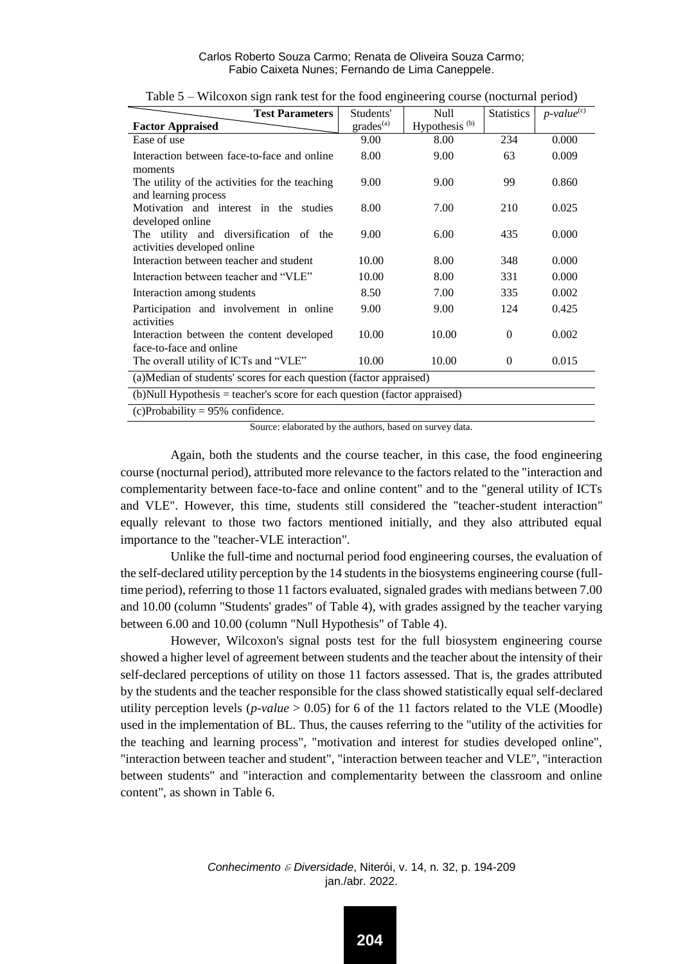| <b>Test Parameters</b>                                                     | Students'             | Null                      | <b>Statistics</b> | $p$ -value $e^{(c)}$ |  |  |  |
|----------------------------------------------------------------------------|-----------------------|---------------------------|-------------------|----------------------|--|--|--|
| <b>Factor Appraised</b>                                                    | grades <sup>(a)</sup> | Hypothesis <sup>(b)</sup> |                   |                      |  |  |  |
| Ease of use                                                                | 9.00                  | 8.00                      | 234               | 0.000                |  |  |  |
| Interaction between face-to-face and online                                | 8.00                  | 9.00                      | 63                | 0.009                |  |  |  |
| moments                                                                    |                       |                           |                   |                      |  |  |  |
| The utility of the activities for the teaching                             | 9.00                  | 9.00                      | 99                | 0.860                |  |  |  |
| and learning process                                                       |                       |                           |                   |                      |  |  |  |
| Motivation and interest in the studies                                     | 8.00                  | 7.00                      | 210               | 0.025                |  |  |  |
| developed online                                                           |                       |                           |                   |                      |  |  |  |
| The utility and diversification of the<br>activities developed online      | 9.00                  | 6.00                      | 435               | 0.000                |  |  |  |
| Interaction between teacher and student                                    | 10.00                 | 8.00                      | 348               | 0.000                |  |  |  |
|                                                                            |                       |                           |                   |                      |  |  |  |
| Interaction between teacher and "VLE"                                      | 10.00                 | 8.00                      | 331               | 0.000                |  |  |  |
| Interaction among students                                                 | 8.50                  | 7.00                      | 335               | 0.002                |  |  |  |
| Participation and involvement in online                                    | 9.00                  | 9.00                      | 124               | 0.425                |  |  |  |
| activities                                                                 |                       |                           |                   |                      |  |  |  |
| Interaction between the content developed                                  | 10.00                 | 10.00                     | $\Omega$          | 0.002                |  |  |  |
| face-to-face and online                                                    |                       |                           |                   |                      |  |  |  |
| The overall utility of ICTs and "VLE"                                      | 10.00                 | 10.00                     | $\mathbf{0}$      | 0.015                |  |  |  |
| (a)Median of students' scores for each question (factor appraised)         |                       |                           |                   |                      |  |  |  |
| (b) Null Hypothesis = teacher's score for each question (factor appraised) |                       |                           |                   |                      |  |  |  |
| $(c)$ Probability = 95% confidence.                                        |                       |                           |                   |                      |  |  |  |

Table 5 – Wilcoxon sign rank test for the food engineering course (nocturnal period)

Source: elaborated by the authors, based on survey data.

Again, both the students and the course teacher, in this case, the food engineering course (nocturnal period), attributed more relevance to the factors related to the "interaction and complementarity between face-to-face and online content" and to the "general utility of ICTs and VLE". However, this time, students still considered the "teacher-student interaction" equally relevant to those two factors mentioned initially, and they also attributed equal importance to the "teacher-VLE interaction".

Unlike the full-time and nocturnal period food engineering courses, the evaluation of the self-declared utility perception by the 14 students in the biosystems engineering course (fulltime period), referring to those 11 factors evaluated, signaled grades with medians between 7.00 and 10.00 (column "Students' grades" of Table 4), with grades assigned by the teacher varying between 6.00 and 10.00 (column "Null Hypothesis" of Table 4).

However, Wilcoxon's signal posts test for the full biosystem engineering course showed a higher level of agreement between students and the teacher about the intensity of their self-declared perceptions of utility on those 11 factors assessed. That is, the grades attributed by the students and the teacher responsible for the class showed statistically equal self-declared utility perception levels (*p-value* > 0.05) for 6 of the 11 factors related to the VLE (Moodle) used in the implementation of BL. Thus, the causes referring to the "utility of the activities for the teaching and learning process", "motivation and interest for studies developed online", "interaction between teacher and student", "interaction between teacher and VLE", "interaction between students" and "interaction and complementarity between the classroom and online content", as shown in Table 6.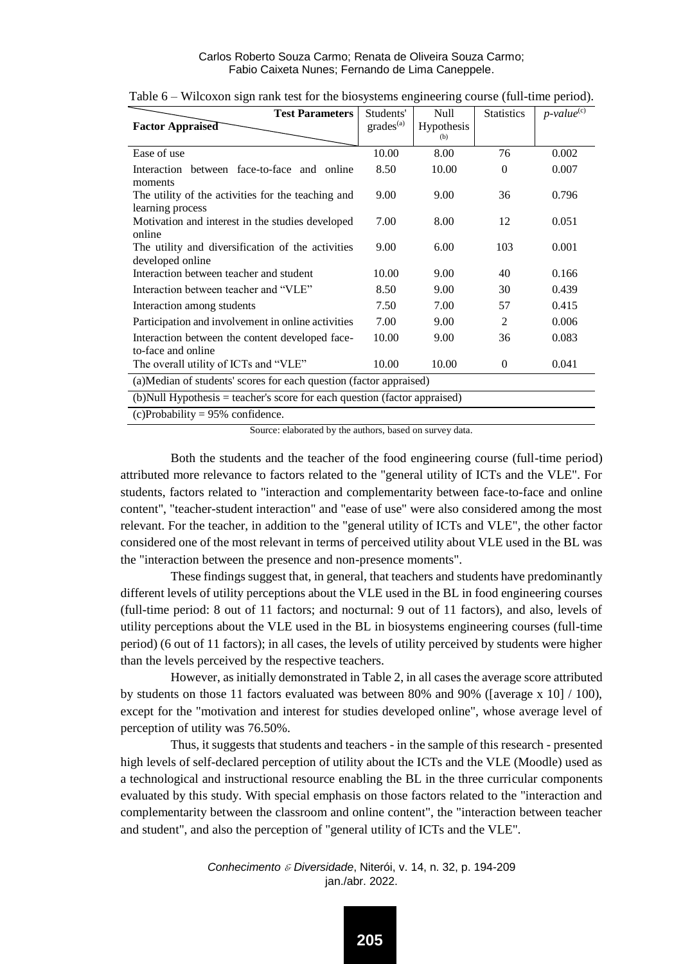| <b>Test Parameters</b>                                                       | Students'      | Null       | <b>Statistics</b> | $p$ -value $e^{(c)}$ |  |  |  |
|------------------------------------------------------------------------------|----------------|------------|-------------------|----------------------|--|--|--|
| Factor Appraised                                                             | $grades^{(a)}$ | Hypothesis |                   |                      |  |  |  |
|                                                                              |                | (b)        |                   |                      |  |  |  |
| Ease of use                                                                  | 10.00          | 8.00       | 76                | 0.002                |  |  |  |
| Interaction between face-to-face and online<br>moments                       | 8.50           | 10.00      | $\Omega$          | 0.007                |  |  |  |
| The utility of the activities for the teaching and<br>learning process       | 9.00           | 9.00       | 36                | 0.796                |  |  |  |
| Motivation and interest in the studies developed<br>online                   | 7.00           | 8.00       | 12                | 0.051                |  |  |  |
| The utility and diversification of the activities<br>developed online        | 9.00           | 6.00       | 103               | 0.001                |  |  |  |
| Interaction between teacher and student                                      | 10.00          | 9.00       | 40                | 0.166                |  |  |  |
| Interaction between teacher and "VLE"                                        | 8.50           | 9.00       | 30                | 0.439                |  |  |  |
| Interaction among students                                                   | 7.50           | 7.00       | 57                | 0.415                |  |  |  |
| Participation and involvement in online activities                           | 7.00           | 9.00       | 2                 | 0.006                |  |  |  |
| Interaction between the content developed face-<br>to-face and online        | 10.00          | 9.00       | 36                | 0.083                |  |  |  |
| The overall utility of ICTs and "VLE"                                        | 10.00          | 10.00      | 0                 | 0.041                |  |  |  |
| (a) Median of students' scores for each question (factor appraised)          |                |            |                   |                      |  |  |  |
| $(b)$ Null Hypothesis = teacher's score for each question (factor appraised) |                |            |                   |                      |  |  |  |
| $(c)$ Probability = 95% confidence.                                          |                |            |                   |                      |  |  |  |

|  |  |  | Table 6 – Wilcoxon sign rank test for the biosystems engineering course (full-time period). |  |
|--|--|--|---------------------------------------------------------------------------------------------|--|
|  |  |  |                                                                                             |  |

Source: elaborated by the authors, based on survey data.

Both the students and the teacher of the food engineering course (full-time period) attributed more relevance to factors related to the "general utility of ICTs and the VLE". For students, factors related to "interaction and complementarity between face-to-face and online content", "teacher-student interaction" and "ease of use" were also considered among the most relevant. For the teacher, in addition to the "general utility of ICTs and VLE", the other factor considered one of the most relevant in terms of perceived utility about VLE used in the BL was the "interaction between the presence and non-presence moments".

These findings suggest that, in general, that teachers and students have predominantly different levels of utility perceptions about the VLE used in the BL in food engineering courses (full-time period: 8 out of 11 factors; and nocturnal: 9 out of 11 factors), and also, levels of utility perceptions about the VLE used in the BL in biosystems engineering courses (full-time period) (6 out of 11 factors); in all cases, the levels of utility perceived by students were higher than the levels perceived by the respective teachers.

However, as initially demonstrated in Table 2, in all cases the average score attributed by students on those 11 factors evaluated was between 80% and 90% ([average x 10]  $/$  100), except for the "motivation and interest for studies developed online", whose average level of perception of utility was 76.50%.

Thus, it suggests that students and teachers - in the sample of this research - presented high levels of self-declared perception of utility about the ICTs and the VLE (Moodle) used as a technological and instructional resource enabling the BL in the three curricular components evaluated by this study. With special emphasis on those factors related to the "interaction and complementarity between the classroom and online content", the "interaction between teacher and student", and also the perception of "general utility of ICTs and the VLE".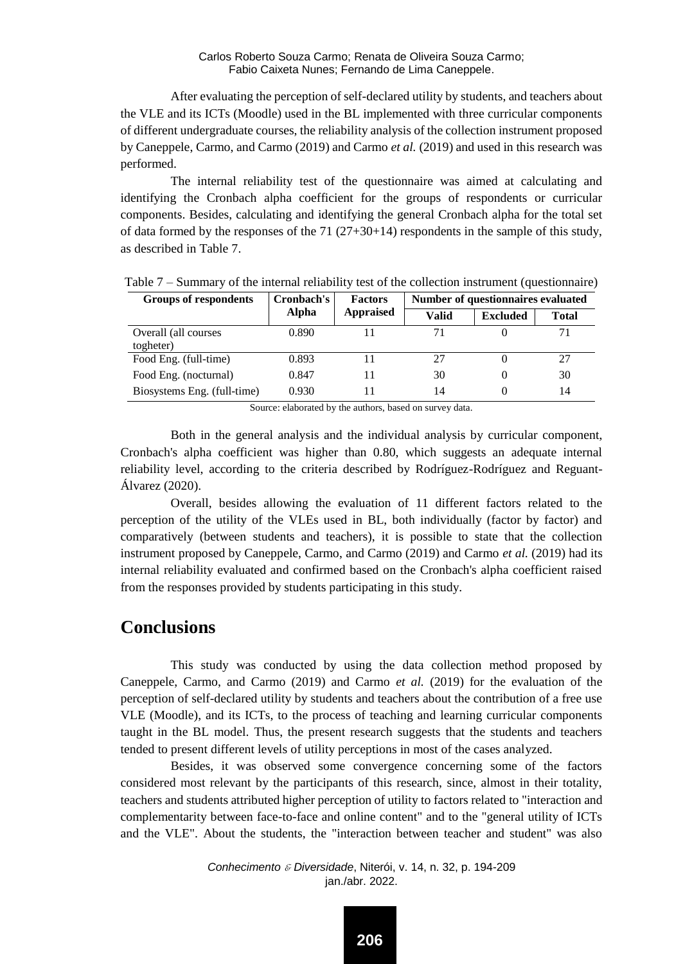After evaluating the perception of self-declared utility by students, and teachers about the VLE and its ICTs (Moodle) used in the BL implemented with three curricular components of different undergraduate courses, the reliability analysis of the collection instrument proposed by Caneppele, Carmo, and Carmo (2019) and Carmo *et al.* (2019) and used in this research was performed.

The internal reliability test of the questionnaire was aimed at calculating and identifying the Cronbach alpha coefficient for the groups of respondents or curricular components. Besides, calculating and identifying the general Cronbach alpha for the total set of data formed by the responses of the  $71 (27+30+14)$  respondents in the sample of this study, as described in Table 7.

| Groups of respondents       | Cronbach's | <b>Factors</b>   | Number of questionnaires evaluated |                 |              |  |
|-----------------------------|------------|------------------|------------------------------------|-----------------|--------------|--|
|                             | Alpha      | <b>Appraised</b> | <b>Valid</b>                       | <b>Excluded</b> | <b>Total</b> |  |
| Overall (all courses        | 0.890      |                  |                                    |                 | 71           |  |
| togheter)                   |            |                  |                                    |                 |              |  |
| Food Eng. (full-time)       | 0.893      |                  | 27                                 |                 | 27           |  |
| Food Eng. (nocturnal)       | 0.847      |                  | 30                                 |                 | 30           |  |
| Biosystems Eng. (full-time) | 0.930      |                  | 14                                 |                 | 14           |  |

Table 7 – Summary of the internal reliability test of the collection instrument (questionnaire)

Source: elaborated by the authors, based on survey data.

Both in the general analysis and the individual analysis by curricular component, Cronbach's alpha coefficient was higher than 0.80, which suggests an adequate internal reliability level, according to the criteria described by Rodríguez-Rodríguez and Reguant-Álvarez (2020).

Overall, besides allowing the evaluation of 11 different factors related to the perception of the utility of the VLEs used in BL, both individually (factor by factor) and comparatively (between students and teachers), it is possible to state that the collection instrument proposed by Caneppele, Carmo, and Carmo (2019) and Carmo *et al.* (2019) had its internal reliability evaluated and confirmed based on the Cronbach's alpha coefficient raised from the responses provided by students participating in this study.

### **Conclusions**

This study was conducted by using the data collection method proposed by Caneppele, Carmo, and Carmo (2019) and Carmo *et al.* (2019) for the evaluation of the perception of self-declared utility by students and teachers about the contribution of a free use VLE (Moodle), and its ICTs, to the process of teaching and learning curricular components taught in the BL model. Thus, the present research suggests that the students and teachers tended to present different levels of utility perceptions in most of the cases analyzed.

Besides, it was observed some convergence concerning some of the factors considered most relevant by the participants of this research, since, almost in their totality, teachers and students attributed higher perception of utility to factors related to "interaction and complementarity between face-to-face and online content" and to the "general utility of ICTs and the VLE". About the students, the "interaction between teacher and student" was also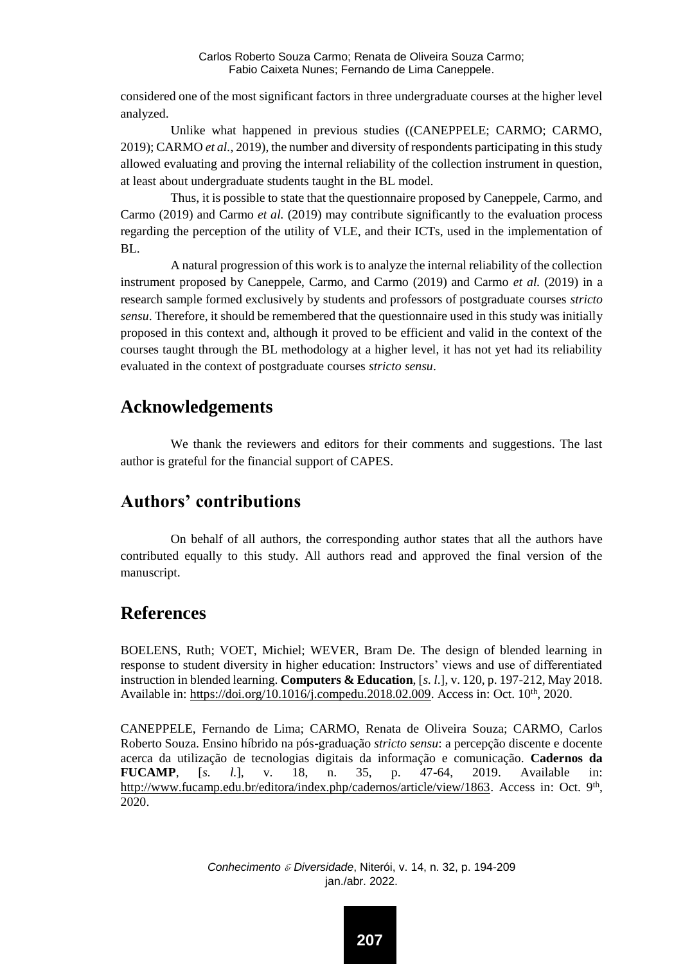considered one of the most significant factors in three undergraduate courses at the higher level analyzed.

Unlike what happened in previous studies ((CANEPPELE; CARMO; CARMO, 2019); CARMO *et al.*, 2019), the number and diversity of respondents participating in this study allowed evaluating and proving the internal reliability of the collection instrument in question, at least about undergraduate students taught in the BL model.

Thus, it is possible to state that the questionnaire proposed by Caneppele, Carmo, and Carmo (2019) and Carmo *et al.* (2019) may contribute significantly to the evaluation process regarding the perception of the utility of VLE, and their ICTs, used in the implementation of BL.

A natural progression of this work is to analyze the internal reliability of the collection instrument proposed by Caneppele, Carmo, and Carmo (2019) and Carmo *et al.* (2019) in a research sample formed exclusively by students and professors of postgraduate courses *stricto sensu*. Therefore, it should be remembered that the questionnaire used in this study was initially proposed in this context and, although it proved to be efficient and valid in the context of the courses taught through the BL methodology at a higher level, it has not yet had its reliability evaluated in the context of postgraduate courses *stricto sensu*.

### **Acknowledgements**

We thank the reviewers and editors for their comments and suggestions. The last author is grateful for the financial support of CAPES.

# **Authors' contributions**

On behalf of all authors, the corresponding author states that all the authors have contributed equally to this study. All authors read and approved the final version of the manuscript.

### **References**

BOELENS, Ruth; VOET, Michiel; WEVER, Bram De. The design of blended learning in response to student diversity in higher education: Instructors' views and use of differentiated instruction in blended learning. **Computers & Education**, [*s. l*.], v. 120, p. 197-212, May 2018. Available in: [https://doi.org/10.1016/j.compedu.2018.02.009.](https://doi.org/10.1016/j.compedu.2018.02.009) Access in: Oct. 10<sup>th</sup>, 2020.

CANEPPELE, Fernando de Lima; CARMO, Renata de Oliveira Souza; CARMO, Carlos Roberto Souza. Ensino híbrido na pós-graduação *stricto sensu*: a percepção discente e docente acerca da utilização de tecnologias digitais da informação e comunicação. **Cadernos da FUCAMP**, [*s. l.*], v. 18, n. 35, p. 47-64, 2019. Available in: [http://www.fucamp.edu.br/editora/index.php/cadernos/article/view/1863.](http://www.fucamp.edu.br/editora/index.php/cadernos/article/view/1863) Access in: Oct. 9<sup>th</sup>, 2020.

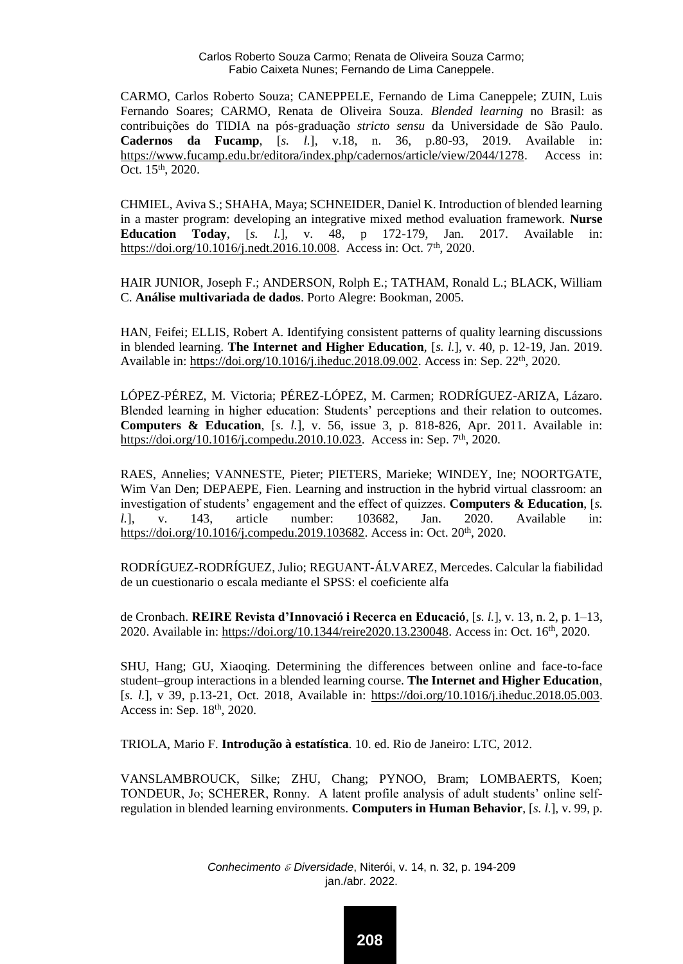CARMO, Carlos Roberto Souza; CANEPPELE, Fernando de Lima Caneppele; ZUIN, Luis Fernando Soares; CARMO, Renata de Oliveira Souza. *Blended learning* no Brasil: as contribuições do TIDIA na pós-graduação *stricto sensu* da Universidade de São Paulo. **Cadernos da Fucamp**, [*s. l.*], v.18, n. 36, p.80-93, 2019. Available in: [https://www.fucamp.edu.br/editora/index.php/cadernos/article/view/2044/1278.](https://www.fucamp.edu.br/editora/index.php/cadernos/article/view/2044/1278) Access in: Oct. 15th, 2020.

CHMIEL, Aviva S.; SHAHA, Maya; SCHNEIDER, Daniel K. Introduction of blended learning in a master program: developing an integrative mixed method evaluation framework. **Nurse Education Today**, [*s. l.*], v. 48, p 172-179, Jan. 2017. Available in: [https://doi.org/10.1016/j.nedt.2016.10.008.](https://doi.org/10.1016/j.nedt.2016.10.008) Access in: Oct. 7<sup>th</sup>, 2020.

HAIR JUNIOR, Joseph F.; ANDERSON, Rolph E.; TATHAM, Ronald L.; BLACK, William C. **Análise multivariada de dados**. Porto Alegre: Bookman, 2005.

HAN, Feifei; ELLIS, Robert A. Identifying consistent patterns of quality learning discussions in blended learning. **The Internet and Higher Education**, [*s. l.*], v. 40, p. 12-19, Jan. 2019. Available in: [https://doi.org/10.1016/j.iheduc.2018.09.002.](https://doi.org/10.1016/j.iheduc.2018.09.002) Access in: Sep. 22th, 2020.

LÓPEZ-PÉREZ, M. Victoria; PÉREZ-LÓPEZ, M. Carmen; RODRÍGUEZ-ARIZA, Lázaro. Blended learning in higher education: Students' perceptions and their relation to outcomes. **Computers & Education**, [*s. l.*], v. 56, issue 3, p. 818-826, Apr. 2011. Available in: [https://doi.org/10.1016/j.compedu.2010.10.023.](https://doi.org/10.1016/j.compedu.2010.10.023) Access in: Sep. 7<sup>th</sup>, 2020.

RAES, Annelies; VANNESTE, Pieter; PIETERS, Marieke; WINDEY, Ine; NOORTGATE, Wim Van Den; DEPAEPE, Fien. Learning and instruction in the hybrid virtual classroom: an investigation of students' engagement and the effect of quizzes. **Computers & Education**, [*s. l.*], v. 143, article number: 103682, Jan. 2020. Available in: [https://doi.org/10.1016/j.compedu.2019.103682.](https://doi.org/10.1016/j.compedu.2019.103682) Access in: Oct. 20<sup>th</sup>, 2020.

RODRÍGUEZ-RODRÍGUEZ, Julio; REGUANT-ÁLVAREZ, Mercedes. Calcular la fiabilidad de un cuestionario o escala mediante el SPSS: el coeficiente alfa

de Cronbach. **REIRE Revista d'Innovació i Recerca en Educació**, [*s. l.*], v. 13, n. 2, p. 1–13, 2020. Available in[: https://doi.org/10.1344/reire2020.13.230048.](https://doi.org/10.1344/reire2020.13.230048) Access in: Oct. 16th, 2020.

SHU, Hang; GU, Xiaoqing. Determining the differences between online and face-to-face student–group interactions in a blended learning course. **The Internet and Higher Education**, [*s. l.*], v 39, p.13-21, Oct. 2018, Available in: [https://doi.org/10.1016/j.iheduc.2018.05.003.](https://doi.org/10.1016/j.iheduc.2018.05.003) Access in: Sep. 18th, 2020.

TRIOLA, Mario F. **Introdução à estatística**. 10. ed. Rio de Janeiro: LTC, 2012.

VANSLAMBROUCK, Silke; ZHU, Chang; PYNOO, Bram; LOMBAERTS, Koen; TONDEUR, Jo; SCHERER, Ronny. A latent profile analysis of adult students' online selfregulation in blended learning environments. **Computers in Human Behavior**, [*s. l.*], v. 99, p.